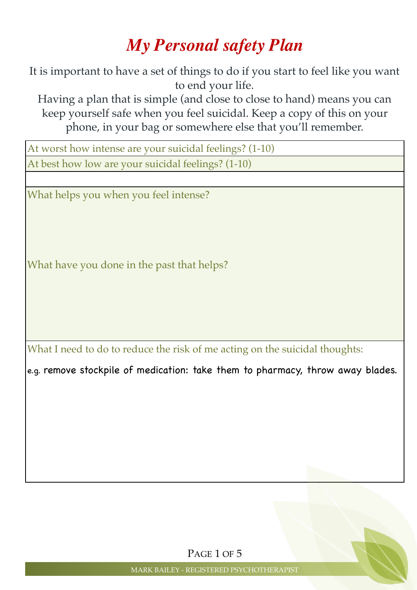## *My Personal safety Plan*

It is important to have a set of things to do if you start to feel like you want to end your life.

Having a plan that is simple (and close to close to hand) means you can keep yourself safe when you feel suicidal. Keep a copy of this on your phone, in your bag or somewhere else that you'll remember.

At worst how intense are your suicidal feelings? (1-10) At best how low are your suicidal feelings? (1-10)

What helps you when you feel intense?

What have you done in the past that helps?

What I need to do to reduce the risk of me acting on the suicidal thoughts:

e.g. remove stockpile of medication: take them to pharmacy, throw away blades.

PAGE 1 OF 5

MARK BAILEY - REGISTERED PSYCHOTHERAPIST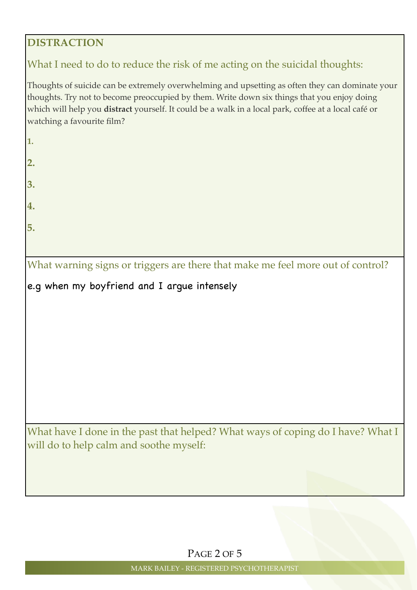### **DISTRACTION**

### What I need to do to reduce the risk of me acting on the suicidal thoughts:

Thoughts of suicide can be extremely overwhelming and upsetting as often they can dominate your thoughts. Try not to become preoccupied by them. Write down six things that you enjoy doing which will help you **distract** yourself. It could be a walk in a local park, coffee at a local café or watching a favourite film?

**1.**

- 
- **2.**
- **3.**
- 
- **4.**
- 
- **5.**

What warning signs or triggers are there that make me feel more out of control?

e.g when my boyfriend and I argue intensely

What have I done in the past that helped? What ways of coping do I have? What I will do to help calm and soothe myself:

PAGE 2 OF 5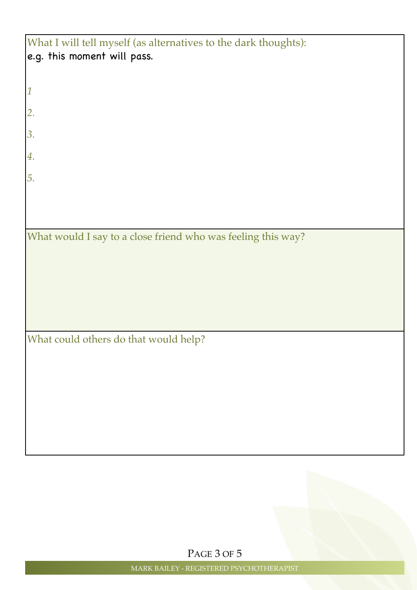| What I will tell myself (as alternatives to the dark thoughts): |
|-----------------------------------------------------------------|
| e.g. this moment will pass.                                     |
|                                                                 |
|                                                                 |
| $\mathbf{1}$                                                    |
|                                                                 |
| 2.                                                              |
|                                                                 |
| 3.                                                              |
| 4.                                                              |
|                                                                 |
| 5.                                                              |
|                                                                 |
|                                                                 |
|                                                                 |
|                                                                 |
| What would I say to a close friend who was feeling this way?    |
|                                                                 |
|                                                                 |
|                                                                 |
|                                                                 |
|                                                                 |
|                                                                 |
|                                                                 |
| What could others do that would help?                           |
|                                                                 |
|                                                                 |
|                                                                 |
|                                                                 |
|                                                                 |
|                                                                 |
|                                                                 |
|                                                                 |
|                                                                 |
|                                                                 |

PAGE 3 OF 5

MARK BAILEY - REGISTERED PSYCHOTHERAPIST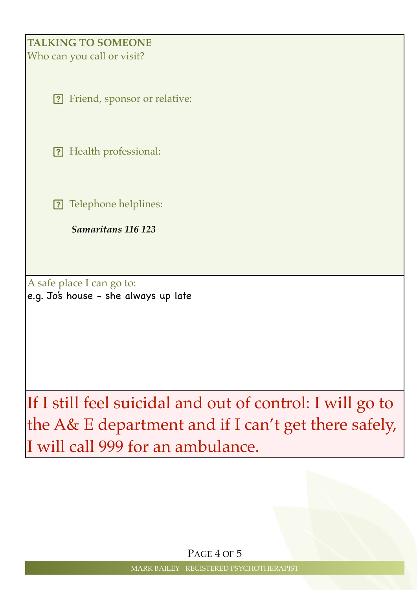## **TALKING TO SOMEONE**

Who can you call or visit?

Friend, sponsor or relative:

? Health professional:

? Telephone helplines:

 *Samaritans 116 123*

A safe place I can go to: e.g. Jo's house - she always up late

If I still feel suicidal and out of control: I will go to the A& E department and if I can't get there safely, I will call 999 for an ambulance.

PAGE 4 OF 5